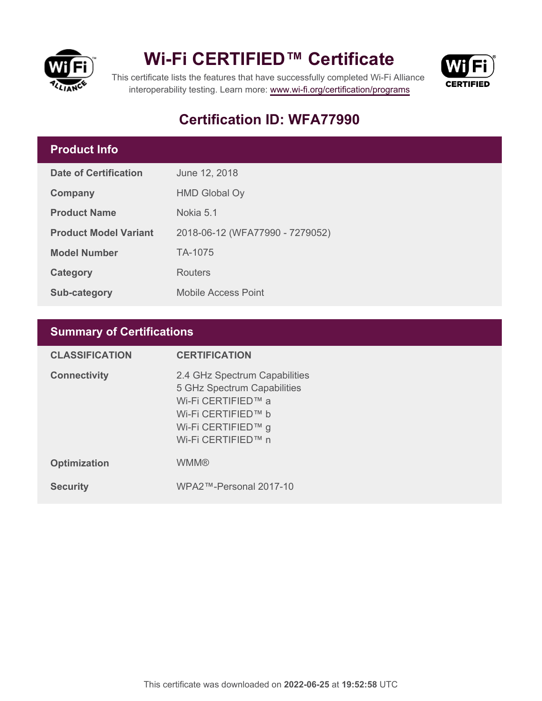

## **Wi-Fi CERTIFIED™ Certificate**



This certificate lists the features that have successfully completed Wi-Fi Alliance interoperability testing. Learn more:<www.wi-fi.org/certification/programs>

## **Certification ID: WFA77990**

### **Product Info**

| <b>Date of Certification</b> | June 12, 2018                   |  |
|------------------------------|---------------------------------|--|
| Company                      | <b>HMD Global Oy</b>            |  |
| <b>Product Name</b>          | Nokia 5.1                       |  |
| <b>Product Model Variant</b> | 2018-06-12 (WFA77990 - 7279052) |  |
| <b>Model Number</b>          | TA-1075                         |  |
| Category                     | <b>Routers</b>                  |  |
| Sub-category                 | <b>Mobile Access Point</b>      |  |

## **Summary of Certifications**

| <b>CLASSIFICATION</b> | <b>CERTIFICATION</b>                                                                                                                                 |
|-----------------------|------------------------------------------------------------------------------------------------------------------------------------------------------|
| <b>Connectivity</b>   | 2.4 GHz Spectrum Capabilities<br>5 GHz Spectrum Capabilities<br>Wi-Fi CERTIFIED™ a<br>Wi-Fi CERTIFIED™ b<br>Wi-Fi CERTIFIED™ g<br>Wi-Fi CERTIFIED™ n |
| <b>Optimization</b>   | <b>WMM®</b>                                                                                                                                          |
| <b>Security</b>       | WPA2™-Personal 2017-10                                                                                                                               |